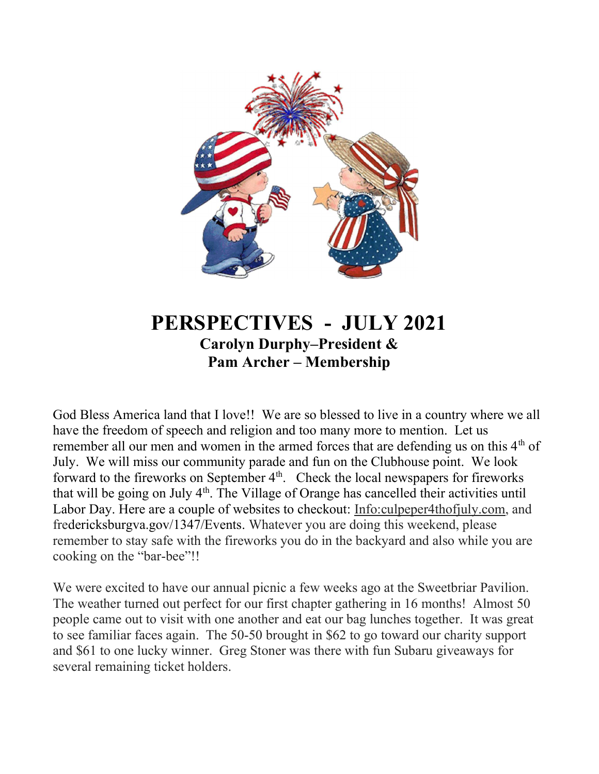

# PERSPECTIVES - JULY 2021 Carolyn Durphy–President & Pam Archer – Membership

God Bless America land that I love!! We are so blessed to live in a country where we all have the freedom of speech and religion and too many more to mention. Let us remember all our men and women in the armed forces that are defending us on this  $4<sup>th</sup>$  of July. We will miss our community parade and fun on the Clubhouse point. We look forward to the fireworks on September  $4<sup>th</sup>$ . Check the local newspapers for fireworks that will be going on July 4<sup>th</sup>. The Village of Orange has cancelled their activities until Labor Day. Here are a couple of websites to checkout: Info:culpeper4thofjuly.com, and fredericksburgva.gov/1347/Events. Whatever you are doing this weekend, please remember to stay safe with the fireworks you do in the backyard and also while you are cooking on the "bar-bee"!!

We were excited to have our annual picnic a few weeks ago at the Sweetbriar Pavilion. The weather turned out perfect for our first chapter gathering in 16 months! Almost 50 people came out to visit with one another and eat our bag lunches together. It was great to see familiar faces again. The 50-50 brought in \$62 to go toward our charity support and \$61 to one lucky winner. Greg Stoner was there with fun Subaru giveaways for several remaining ticket holders.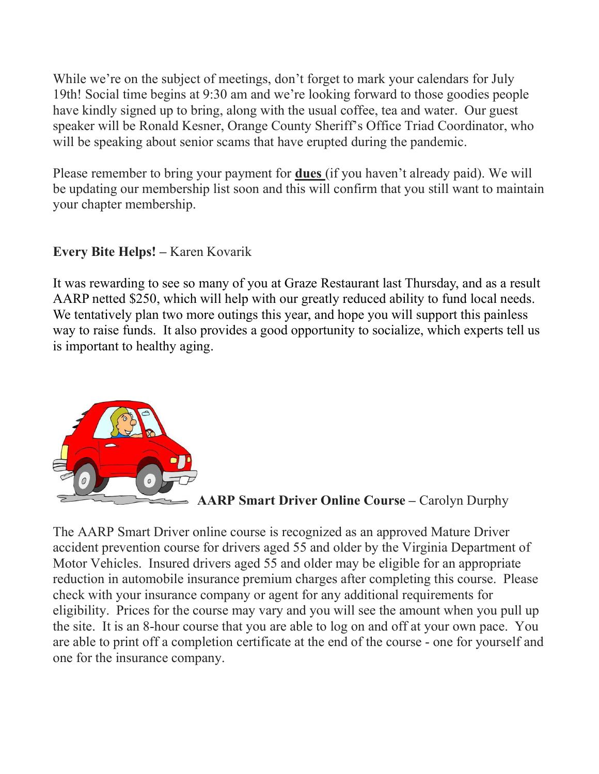While we're on the subject of meetings, don't forget to mark your calendars for July 19th! Social time begins at 9:30 am and we're looking forward to those goodies people have kindly signed up to bring, along with the usual coffee, tea and water. Our guest speaker will be Ronald Kesner, Orange County Sheriff's Office Triad Coordinator, who will be speaking about senior scams that have erupted during the pandemic.

Please remember to bring your payment for dues (if you haven't already paid). We will be updating our membership list soon and this will confirm that you still want to maintain your chapter membership.

Every Bite Helps! – Karen Kovarik

It was rewarding to see so many of you at Graze Restaurant last Thursday, and as a result AARP netted \$250, which will help with our greatly reduced ability to fund local needs. We tentatively plan two more outings this year, and hope you will support this painless way to raise funds. It also provides a good opportunity to socialize, which experts tell us is important to healthy aging.



AARP Smart Driver Online Course – Carolyn Durphy

The AARP Smart Driver online course is recognized as an approved Mature Driver accident prevention course for drivers aged 55 and older by the Virginia Department of Motor Vehicles. Insured drivers aged 55 and older may be eligible for an appropriate reduction in automobile insurance premium charges after completing this course. Please check with your insurance company or agent for any additional requirements for eligibility. Prices for the course may vary and you will see the amount when you pull up the site. It is an 8-hour course that you are able to log on and off at your own pace. You are able to print off a completion certificate at the end of the course - one for yourself and one for the insurance company.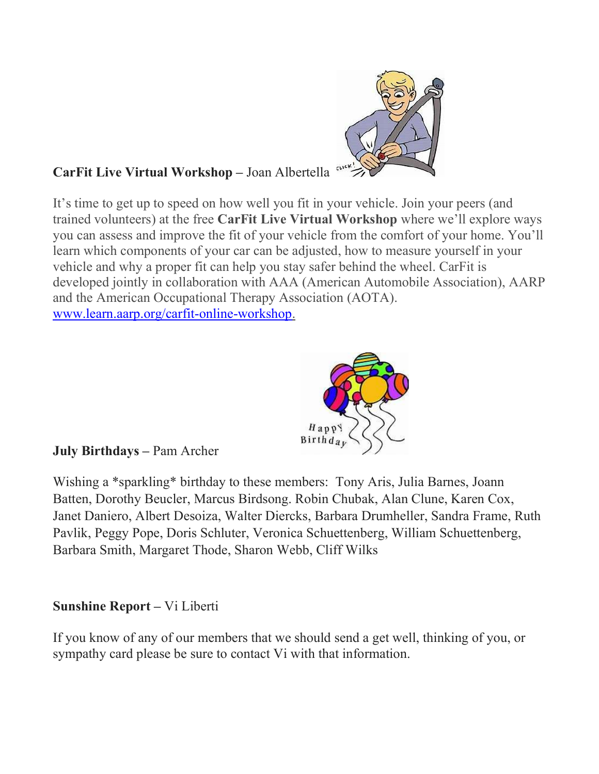

## CarFit Live Virtual Workshop – Joan Albertella

It's time to get up to speed on how well you fit in your vehicle. Join your peers (and trained volunteers) at the free CarFit Live Virtual Workshop where we'll explore ways you can assess and improve the fit of your vehicle from the comfort of your home. You'll learn which components of your car can be adjusted, how to measure yourself in your vehicle and why a proper fit can help you stay safer behind the wheel. CarFit is developed jointly in collaboration with AAA (American Automobile Association), AARP and the American Occupational Therapy Association (AOTA). www.learn.aarp.org/carfit-online-workshop.



July Birthdays – Pam Archer

Wishing a \*sparkling\* birthday to these members: Tony Aris, Julia Barnes, Joann Batten, Dorothy Beucler, Marcus Birdsong. Robin Chubak, Alan Clune, Karen Cox, Janet Daniero, Albert Desoiza, Walter Diercks, Barbara Drumheller, Sandra Frame, Ruth Pavlik, Peggy Pope, Doris Schluter, Veronica Schuettenberg, William Schuettenberg, Barbara Smith, Margaret Thode, Sharon Webb, Cliff Wilks

### Sunshine Report – Vi Liberti

If you know of any of our members that we should send a get well, thinking of you, or sympathy card please be sure to contact Vi with that information.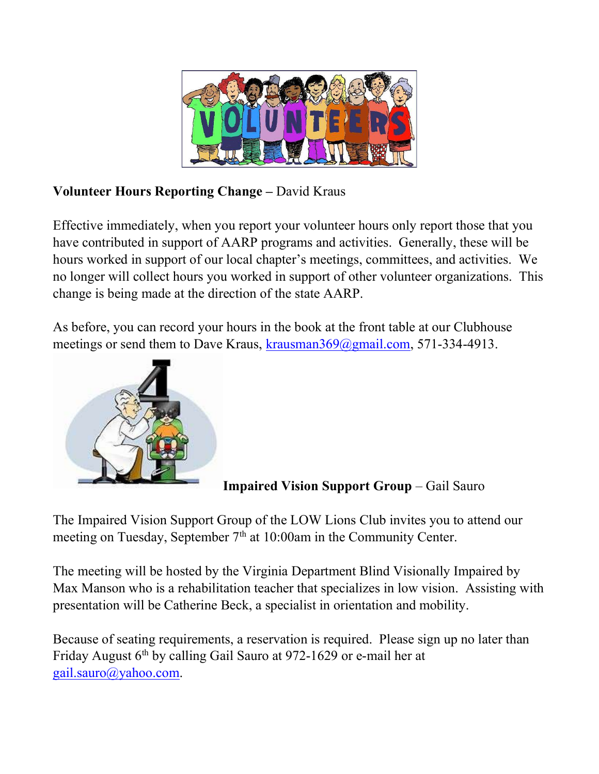

## Volunteer Hours Reporting Change – David Kraus

Effective immediately, when you report your volunteer hours only report those that you have contributed in support of AARP programs and activities. Generally, these will be hours worked in support of our local chapter's meetings, committees, and activities. We no longer will collect hours you worked in support of other volunteer organizations. This change is being made at the direction of the state AARP.

As before, you can record your hours in the book at the front table at our Clubhouse meetings or send them to Dave Kraus, krausman369@gmail.com, 571-334-4913.



Impaired Vision Support Group – Gail Sauro

The Impaired Vision Support Group of the LOW Lions Club invites you to attend our meeting on Tuesday, September  $7<sup>th</sup>$  at 10:00am in the Community Center.

The meeting will be hosted by the Virginia Department Blind Visionally Impaired by Max Manson who is a rehabilitation teacher that specializes in low vision. Assisting with presentation will be Catherine Beck, a specialist in orientation and mobility.

Because of seating requirements, a reservation is required. Please sign up no later than Friday August 6<sup>th</sup> by calling Gail Sauro at 972-1629 or e-mail her at gail.sauro@yahoo.com.